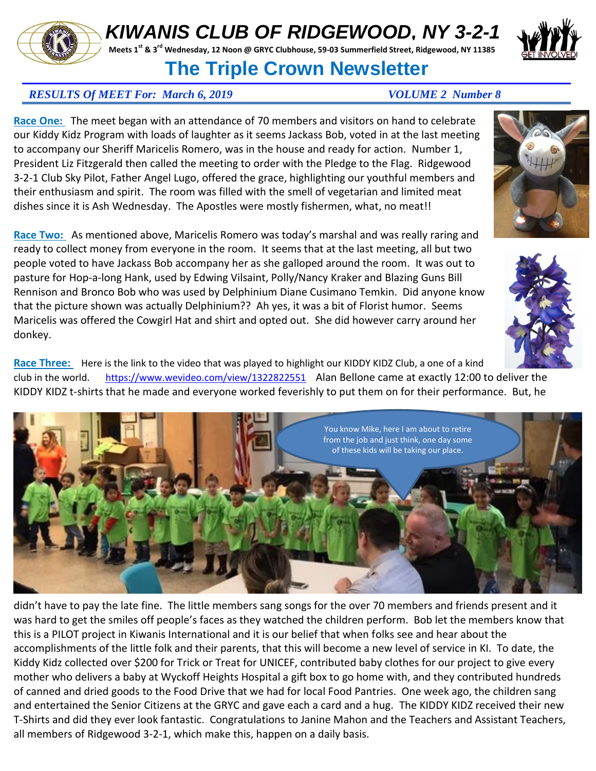## *KIWANIS CLUB OF RIDGEWOOD, NY 3-2-1*

**Meets 1st & 3rd Wednesday, 12 Noon @ GRYC Clubhouse, 59-03 Summerfield Street, Ridgewood, NY 11385** 

## **The Triple Crown Newsletter**

## *RESULTS Of MEET For: March 6, 2019 VOLUME 2 Number 8*

**Race One:** The meet began with an attendance of 70 members and visitors on hand to celebrate our Kiddy Kidz Program with loads of laughter as it seems Jackass Bob, voted in at the last meeting to accompany our Sheriff Maricelis Romero, was in the house and ready for action. Number 1, President Liz Fitzgerald then called the meeting to order with the Pledge to the Flag. Ridgewood 3-2-1 Club Sky Pilot, Father Angel Lugo, offered the grace, highlighting our youthful members and their enthusiasm and spirit. The room was filled with the smell of vegetarian and limited meat dishes since it is Ash Wednesday. The Apostles were mostly fishermen, what, no meat!!

Race Two: As mentioned above, Maricelis Romero was today's marshal and was really raring and ready to collect money from everyone in the room. It seems that at the last meeting, all but two people voted to have Jackass Bob accompany her as she galloped around the room. It was out to pasture for Hop-a-long Hank, used by Edwing Vilsaint, Polly/Nancy Kraker and Blazing Guns Bill Rennison and Bronco Bob who was used by Delphinium Diane Cusimano Temkin. Did anyone know that the picture shown was actually Delphinium?? Ah yes, it was a bit of Florist humor. Seems Maricelis was offered the Cowgirl Hat and shirt and opted out. She did however carry around her donkey.

Race Three: Here is the link to the video that was played to highlight our KIDDY KIDZ Club, a one of a kind club in the world.<https://www.wevideo.com/view/1322822551>Alan Bellone came at exactly 12:00 to deliver the KIDDY KIDZ t-shirts that he made and everyone worked feverishly to put them on for their performance. But, he

didn't have to pay the late fine. The little members sang songs for the over 70 members and friends present and it was hard to get the smiles off people's faces as they watched the children perform. Bob let the members know that this is a PILOT project in Kiwanis International and it is our belief that when folks see and hear about the accomplishments of the little folk and their parents, that this will become a new level of service in KI. To date, the Kiddy Kidz collected over \$200 for Trick or Treat for UNICEF, contributed baby clothes for our project to give every mother who delivers a baby at Wyckoff Heights Hospital a gift box to go home with, and they contributed hundreds of canned and dried goods to the Food Drive that we had for local Food Pantries. One week ago, the children sang and entertained the Senior Citizens at the GRYC and gave each a card and a hug. The KIDDY KIDZ received their new T-Shirts and did they ever look fantastic. Congratulations to Janine Mahon and the Teachers and Assistant Teachers, all members of Ridgewood 3-2-1, which make this, happen on a daily basis.







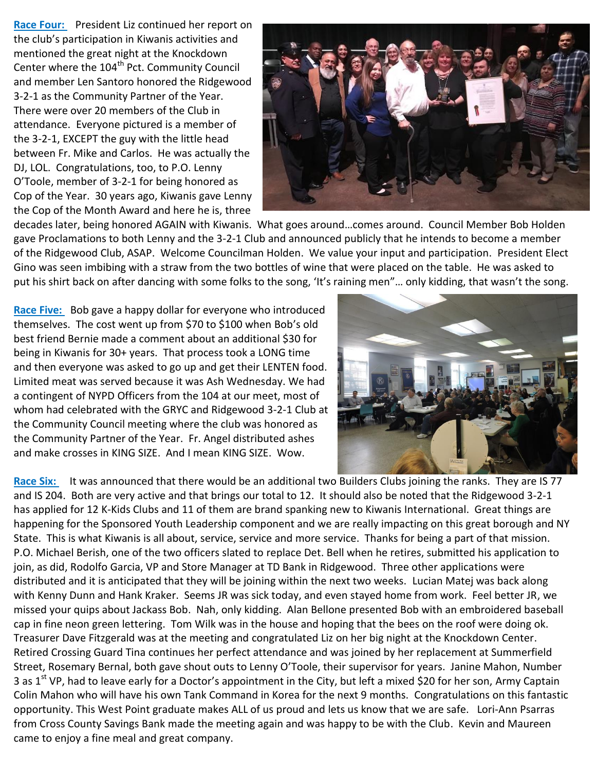**Race Four:** President Liz continued her report on the club's participation in Kiwanis activities and mentioned the great night at the Knockdown Center where the 104<sup>th</sup> Pct. Community Council and member Len Santoro honored the Ridgewood 3-2-1 as the Community Partner of the Year. There were over 20 members of the Club in attendance. Everyone pictured is a member of the 3-2-1, EXCEPT the guy with the little head between Fr. Mike and Carlos. He was actually the DJ, LOL. Congratulations, too, to P.O. Lenny O'Toole, member of 3-2-1 for being honored as Cop of the Year. 30 years ago, Kiwanis gave Lenny the Cop of the Month Award and here he is, three



decades later, being honored AGAIN with Kiwanis. What goes around…comes around. Council Member Bob Holden gave Proclamations to both Lenny and the 3-2-1 Club and announced publicly that he intends to become a member of the Ridgewood Club, ASAP. Welcome Councilman Holden. We value your input and participation. President Elect Gino was seen imbibing with a straw from the two bottles of wine that were placed on the table. He was asked to put his shirt back on after dancing with some folks to the song, 'It's raining men"… only kidding, that wasn't the song.

**Race Five:** Bob gave a happy dollar for everyone who introduced themselves. The cost went up from \$70 to \$100 when Bob's old best friend Bernie made a comment about an additional \$30 for being in Kiwanis for 30+ years. That process took a LONG time and then everyone was asked to go up and get their LENTEN food. Limited meat was served because it was Ash Wednesday. We had a contingent of NYPD Officers from the 104 at our meet, most of whom had celebrated with the GRYC and Ridgewood 3-2-1 Club at the Community Council meeting where the club was honored as the Community Partner of the Year. Fr. Angel distributed ashes and make crosses in KING SIZE. And I mean KING SIZE. Wow.



Race Six: It was announced that there would be an additional two Builders Clubs joining the ranks. They are IS 77 and IS 204. Both are very active and that brings our total to 12. It should also be noted that the Ridgewood 3-2-1 has applied for 12 K-Kids Clubs and 11 of them are brand spanking new to Kiwanis International. Great things are happening for the Sponsored Youth Leadership component and we are really impacting on this great borough and NY State. This is what Kiwanis is all about, service, service and more service. Thanks for being a part of that mission. P.O. Michael Berish, one of the two officers slated to replace Det. Bell when he retires, submitted his application to join, as did, Rodolfo Garcia, VP and Store Manager at TD Bank in Ridgewood. Three other applications were distributed and it is anticipated that they will be joining within the next two weeks. Lucian Matej was back along with Kenny Dunn and Hank Kraker. Seems JR was sick today, and even stayed home from work. Feel better JR, we missed your quips about Jackass Bob. Nah, only kidding. Alan Bellone presented Bob with an embroidered baseball cap in fine neon green lettering. Tom Wilk was in the house and hoping that the bees on the roof were doing ok. Treasurer Dave Fitzgerald was at the meeting and congratulated Liz on her big night at the Knockdown Center. Retired Crossing Guard Tina continues her perfect attendance and was joined by her replacement at Summerfield Street, Rosemary Bernal, both gave shout outs to Lenny O'Toole, their supervisor for years. Janine Mahon, Number 3 as 1<sup>st</sup> VP, had to leave early for a Doctor's appointment in the City, but left a mixed \$20 for her son, Army Captain Colin Mahon who will have his own Tank Command in Korea for the next 9 months. Congratulations on this fantastic opportunity. This West Point graduate makes ALL of us proud and lets us know that we are safe. Lori-Ann Psarras from Cross County Savings Bank made the meeting again and was happy to be with the Club. Kevin and Maureen came to enjoy a fine meal and great company.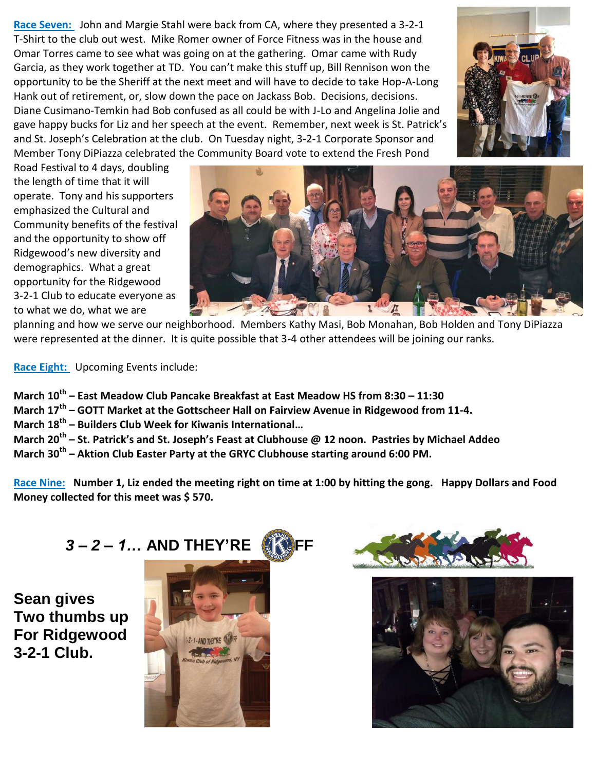**Race Seven:** John and Margie Stahl were back from CA, where they presented a 3-2-1 T-Shirt to the club out west. Mike Romer owner of Force Fitness was in the house and Omar Torres came to see what was going on at the gathering. Omar came with Rudy Garcia, as they work together at TD. You can't make this stuff up, Bill Rennison won the opportunity to be the Sheriff at the next meet and will have to decide to take Hop-A-Long Hank out of retirement, or, slow down the pace on Jackass Bob. Decisions, decisions. Diane Cusimano-Temkin had Bob confused as all could be with J-Lo and Angelina Jolie and gave happy bucks for Liz and her speech at the event. Remember, next week is St. Patrick's and St. Joseph's Celebration at the club. On Tuesday night, 3-2-1 Corporate Sponsor and Member Tony DiPiazza celebrated the Community Board vote to extend the Fresh Pond



Road Festival to 4 days, doubling the length of time that it will operate. Tony and his supporters emphasized the Cultural and Community benefits of the festival and the opportunity to show off Ridgewood's new diversity and demographics. What a great opportunity for the Ridgewood 3-2-1 Club to educate everyone as to what we do, what we are



planning and how we serve our neighborhood. Members Kathy Masi, Bob Monahan, Bob Holden and Tony DiPiazza were represented at the dinner. It is quite possible that 3-4 other attendees will be joining our ranks.

**Race Eight:** Upcoming Events include:

**March 10th – East Meadow Club Pancake Breakfast at East Meadow HS from 8:30 – 11:30**

**March 17th – GOTT Market at the Gottscheer Hall on Fairview Avenue in Ridgewood from 11-4.** 

**March 18th – Builders Club Week for Kiwanis International…**

**March 20th – St. Patrick's and St. Joseph's Feast at Clubhouse @ 12 noon. Pastries by Michael Addeo March 30th – Aktion Club Easter Party at the GRYC Clubhouse starting around 6:00 PM.** 

**Race Nine: Number 1, Liz ended the meeting right on time at 1:00 by hitting the gong. Happy Dollars and Food Money collected for this meet was \$ 570.**

**Sean gives Two thumbs up For Ridgewood 3-2-1 Club.**